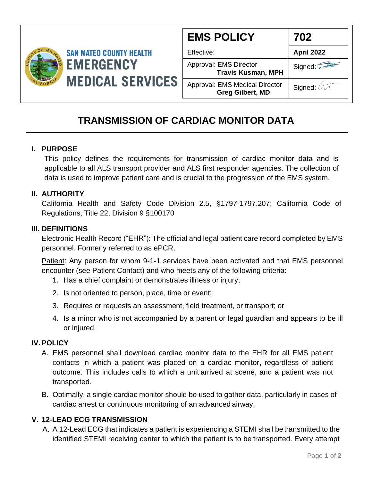

| <b>EMS POLICY</b>                                                | 702        |
|------------------------------------------------------------------|------------|
| Effective:                                                       | April 2022 |
| Approval: EMS Director<br><b>Travis Kusman, MPH</b>              | Signed:    |
| <b>Approval: EMS Medical Director</b><br><b>Greg Gilbert, MD</b> | Signed: 4  |

# **TRANSMISSION OF CARDIAC MONITOR DATA**

### **I. PURPOSE**

This policy defines the requirements for transmission of cardiac monitor data and is applicable to all ALS transport provider and ALS first responder agencies. The collection of data is used to improve patient care and is crucial to the progression of the EMS system.

#### **II. AUTHORITY**

California Health and Safety Code Division 2.5, §1797-1797.207; California Code of Regulations, Title 22, Division 9 §100170

#### **III. DEFINITIONS**

Electronic Health Record ("EHR"): The official and legal patient care record completed by EMS personnel. Formerly referred to as ePCR.

Patient: Any person for whom 9-1-1 services have been activated and that EMS personnel encounter (see Patient Contact) and who meets any of the following criteria:

- 1. Has a chief complaint or demonstrates illness or injury;
- 2. Is not oriented to person, place, time or event;
- 3. Requires or requests an assessment, field treatment, or transport; or
- 4. Is a minor who is not accompanied by a parent or legal guardian and appears to be ill or injured.

#### **IV.POLICY**

- A. EMS personnel shall download cardiac monitor data to the EHR for all EMS patient contacts in which a patient was placed on a cardiac monitor, regardless of patient outcome. This includes calls to which a unit arrived at scene, and a patient was not transported.
- B. Optimally, a single cardiac monitor should be used to gather data, particularly in cases of cardiac arrest or continuous monitoring of an advanced airway.

#### **V. 12-LEAD ECG TRANSMISSION**

A. A 12-Lead ECG that indicates a patient is experiencing a STEMI shall betransmitted to the identified STEMI receiving center to which the patient is to be transported. Every attempt